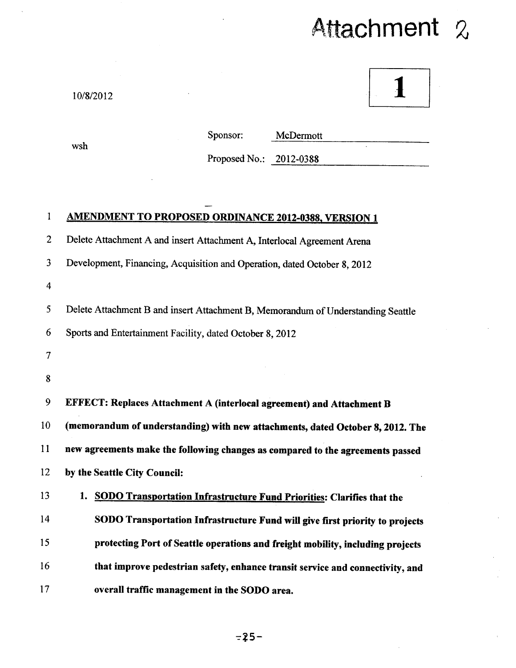## Attachment 2

1

10/8/2012

wsh

Sponsor: McDermott

Proposed No.: 2012-0388

## **I AMENDMENT TO PROPOSED ORDINANCE 2012-0388, VERSION 1**

2 Delete Attachment A and insert Attachment A, Interlocal Agreement Arena

3 Development, Financing, Acquisition and Operation, dated October 8, 2012

4

*5* Delete Attachment B and insert Attachment B, Memorandum of Understanding Seattle

6 Sports and Entertainment Facility, dated October 8, 2012

- 7
- 8

**9 EFFECT: Replaces Attachment A (interlocal agreement) and Attachment B 10 (memorandum of understanding) with new attachments, dated October 8, 2012. The 11 new agreements make the following changes as compared to the agreements passed 12 by the Seattle City Council: 13 1. SODO Transportation Infrastructure Fund Priorities: Clarifies that the** 

**14 SODO Transportation Infrastructure Fund will give first priority to projects 15 protecting Port of Seattle operations and freight mobility, including projects 16 that improve pedestrian safety, enhance transit service and connectivity, and 17 overall traffic management in the SODO area.**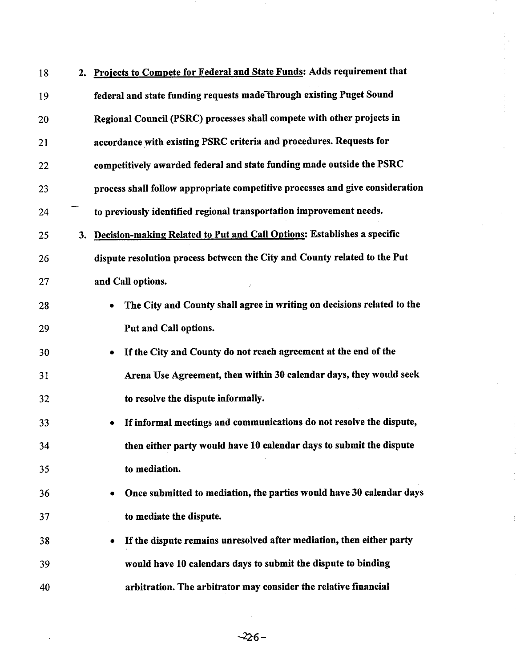| 18 | 2. | Projects to Compete for Federal and State Funds: Adds requirement that              |
|----|----|-------------------------------------------------------------------------------------|
| 19 |    | federal and state funding requests made through existing Puget Sound                |
| 20 |    | Regional Council (PSRC) processes shall compete with other projects in              |
| 21 |    | accordance with existing PSRC criteria and procedures. Requests for                 |
| 22 |    | competitively awarded federal and state funding made outside the PSRC               |
| 23 |    | process shall follow appropriate competitive processes and give consideration       |
| 24 |    | to previously identified regional transportation improvement needs.                 |
| 25 | 3. | Decision-making Related to Put and Call Options: Establishes a specific             |
| 26 |    | dispute resolution process between the City and County related to the Put           |
| 27 |    | and Call options.                                                                   |
| 28 |    | The City and County shall agree in writing on decisions related to the<br>$\bullet$ |
| 29 |    | Put and Call options.                                                               |
| 30 |    | If the City and County do not reach agreement at the end of the<br>$\bullet$        |
| 31 |    | Arena Use Agreement, then within 30 calendar days, they would seek                  |
| 32 |    | to resolve the dispute informally.                                                  |
| 33 |    | If informal meetings and communications do not resolve the dispute,<br>۰            |
| 34 |    | then either party would have 10 calendar days to submit the dispute                 |
| 35 |    | to mediation.                                                                       |
| 36 |    | Once submitted to mediation, the parties would have 30 calendar days<br>٠           |
| 37 |    | to mediate the dispute.                                                             |
| 38 |    | If the dispute remains unresolved after mediation, then either party<br>۰           |
| 39 |    | would have 10 calendars days to submit the dispute to binding                       |
| 40 |    | arbitration. The arbitrator may consider the relative financial                     |

 $-226-$ 

 $\ddot{\ddot{\cdot}}$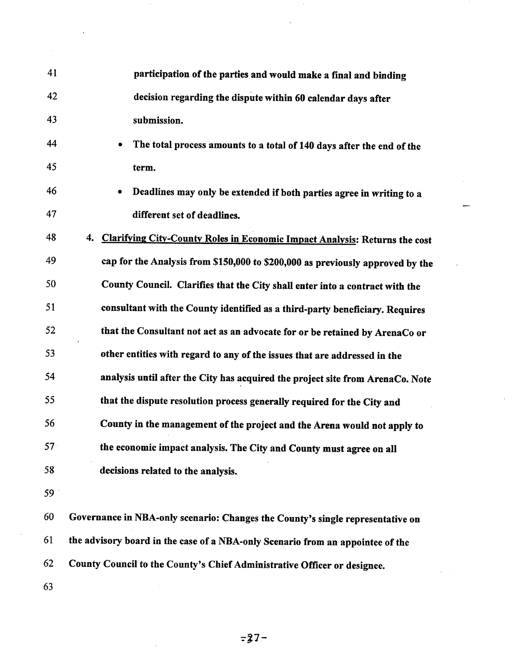| 41 | participation of the parties and would make a final and binding                    |
|----|------------------------------------------------------------------------------------|
| 42 | decision regarding the dispute within 60 calendar days after                       |
| 43 | submission.                                                                        |
| 44 | The total process amounts to a total of 140 days after the end of the<br>$\bullet$ |
| 45 | term.                                                                              |
| 46 | Deadlines may only be extended if both parties agree in writing to a<br>٠          |
| 47 | different set of deadlines.                                                        |
| 48 | Clarifying City-County Roles in Economic Impact Analysis: Returns the cost<br>4.   |
| 49 | cap for the Analysis from \$150,000 to \$200,000 as previously approved by the     |
| 50 | County Council. Clarifies that the City shall enter into a contract with the       |
| 51 | consultant with the County identified as a third-party beneficiary. Requires       |
| 52 | that the Consultant not act as an advocate for or be retained by ArenaCo or        |
| 53 | other entities with regard to any of the issues that are addressed in the          |
| 54 | analysis until after the City has acquired the project site from ArenaCo. Note     |
| 55 | that the dispute resolution process generally required for the City and            |
| 56 | County in the management of the project and the Arena would not apply to           |
| 57 | the economic impact analysis. The City and County must agree on all                |
| 58 | decisions related to the analysis.                                                 |
| 59 |                                                                                    |
| 60 | Governance in NBA-only scenario: Changes the County's single representative on     |
| 61 | the advisory board in the case of a NBA-only Scenario from an appointee of the     |
| 62 | County Council to the County's Chief Administrative Officer or designee.           |

 $\bar{z}$ 

**63** 

 $\overline{\phantom{a}}$